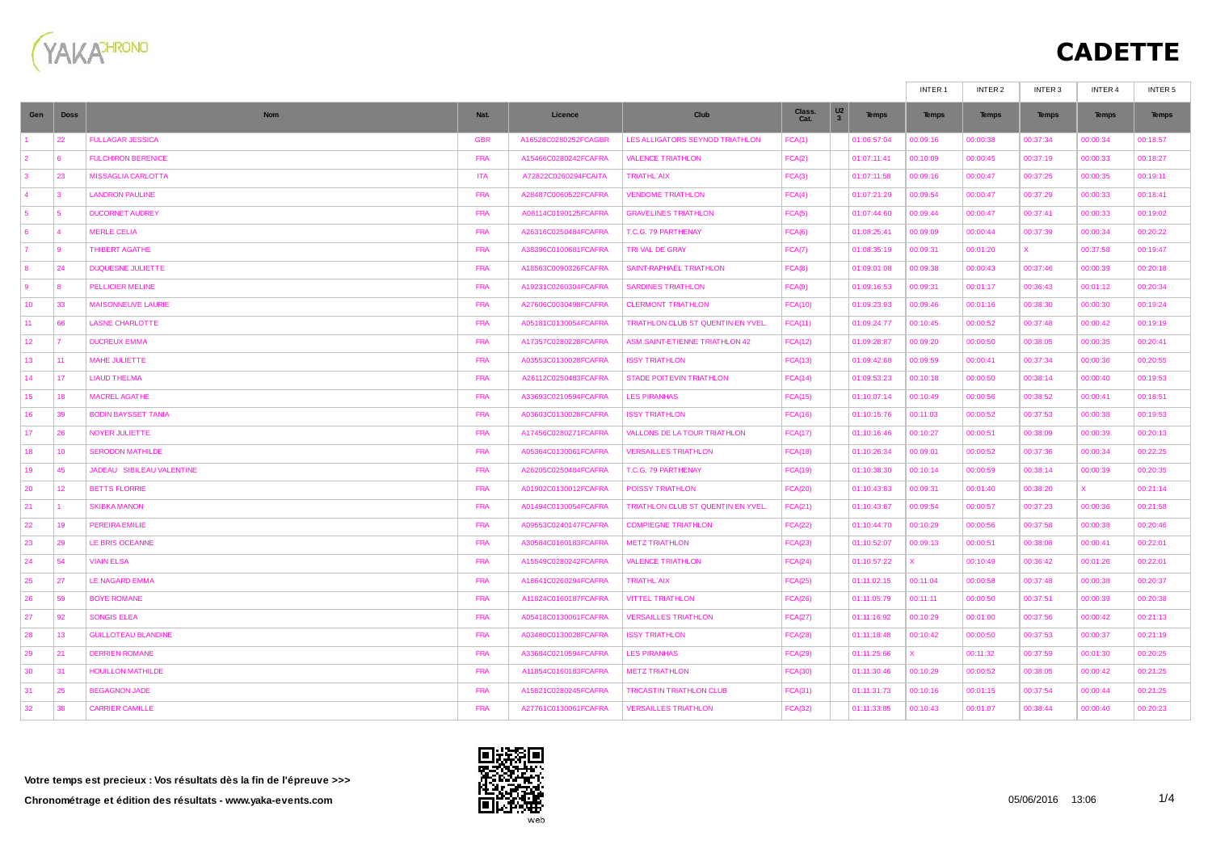

## **CADETTE**

|                |                |                            |            |                      |                                       |                |                               | INTER <sub>1</sub> | INTER 2      | INTER 3      | INTER 4      | INTER 5      |
|----------------|----------------|----------------------------|------------|----------------------|---------------------------------------|----------------|-------------------------------|--------------------|--------------|--------------|--------------|--------------|
| Gen            | <b>Doss</b>    | <b>Nom</b>                 | Nat.       | Licence              | Club                                  | Class.<br>Cat. | $\frac{1}{3}$<br><b>Temps</b> | <b>Temps</b>       | <b>Temps</b> | <b>Temps</b> | <b>Temps</b> | <b>Temps</b> |
|                | 22             | <b>FULLAGAR JESSICA</b>    | <b>GBR</b> | A16528C0280252FCAGBR | LES ALLIGATORS SEYNOD TRIATHLON       | FCA(1)         | 01:06:57:04                   | 00:09:16           | 00:00:38     | 00:37:34     | 00:00:34     | 00:18:57     |
|                |                | <b>FULCHIRON BERENICE</b>  | <b>FRA</b> | A15466C0280242FCAFRA | <b>VALENCE TRIATHLON</b>              | FCA(2)         | 01:07:11:41                   | 00:10:09           | 00:00:45     | 00:37:19     | 00:00:33     | 00:18:27     |
| $\mathbf{3}$   | 23             | <b>MISSAGLIA CARLOTTA</b>  | <b>ITA</b> | A72822C0260294FCAITA | <b>TRIATHL'AIX</b>                    | FCA(3)         | 01:07:11:58                   | 00:09:16           | 00:00:47     | 00:37:25     | 00:00:35     | 00:19:11     |
| $\overline{4}$ | 3              | <b>LANDRON PAULINE</b>     | <b>FRA</b> | A28487C0060522FCAFRA | <b>VENDOME TRIATHLON</b>              | FCA(4)         | 01:07:21:29                   | 00:09:54           | 00:00:47     | 00:37:29     | 00:00:33     | 00:18:41     |
| -5             | 5              | <b>DUCORNET AUDREY</b>     | <b>FRA</b> | A08114C0190125FCAFRA | <b>GRAVELINES TRIATHLON</b>           | FCA(5)         | 01:07:44:60                   | 00:09:44           | 00:00:47     | 00:37:41     | 00:00:33     | 00:19:02     |
| -6             | $\overline{a}$ | <b>MERLE CELIA</b>         | <b>FRA</b> | A26316C0250484FCAFRA | T.C.G. 79 PARTHENAY                   | FCA(6)         | 01:08:25:41                   | 00:09:09           | 00:00:44     | 00:37:39     | 00:00:34     | 00:20:22     |
| $\overline{7}$ | -9             | THIBERT AGATHE             | <b>FRA</b> | A38396C0100681FCAFRA | TRI VAL DE GRAY                       | FCA(7)         | 01:08:35:19                   | 00:09:31           | 00:01:20     | X.           | 00:37:58     | 00:19:47     |
| 8              | 24             | <b>DUQUESNE JULIETTE</b>   | <b>FRA</b> | A18563C0090326FCAFRA | SAINT-RAPHAËL TRIATHLON               | FCA(8)         | 01:09:01:08                   | 00:09:38           | 00:00:43     | 00:37:46     | 00:00:39     | 00:20:18     |
| -9             | $\mathbf{8}$   | <b>PELLICIER MELINE</b>    | <b>FRA</b> | A19231C0260304FCAFRA | <b>SARDINES TRIATHLON</b>             | FCA(9)         | 01:09:16:53                   | 00:09:31           | 00:01:17     | 00:36:43     | 00:01:12     | 00:20:34     |
| 10             | 33             | <b>MAISONNEUVE LAURIE</b>  | <b>FRA</b> | A27606C0030498FCAFRA | <b>CLERMONT TRIATHLON</b>             | <b>FCA(10)</b> | 01:09:23:93                   | 00:09:46           | 00:01:16     | 00:38:30     | 00:00:30     | 00:19:24     |
| 11             | 66             | <b>LASNE CHARLOTTE</b>     | <b>FRA</b> | A05181C0130054FCAFRA | TRIATHLON CLUB ST QUENTIN EN YVEL.    | FCA(11)        | 01:09:24:77                   | 00:10:45           | 00:00:52     | 00:37:48     | 00:00:42     | 00:19:19     |
| 12             | 17             | <b>DUCREUX EMMA</b>        | <b>FRA</b> | A17357C0280228FCAFRA | <b>ASM.SAINT-ETIENNE TRIATHLON 42</b> | FCA(12)        | 01:09:28:87                   | 00:09:20           | 00:00:50     | 00:38:05     | 00:00:35     | 00:20:41     |
| 13             | 11             | MAHE JULIETTE              | <b>FRA</b> | A03553C0130028FCAFRA | <b>ISSY TRIATHLON</b>                 | FCA(13)        | 01:09:42:68                   | 00:09:59           | 00:00:41     | 00:37:34     | 00:00:36     | 00:20:55     |
| 14             | 17             | <b>LIAUD THELMA</b>        | <b>FRA</b> | A26112C0250483FCAFRA | <b>STADE POITEVIN TRIATHLON</b>       | FCA(14)        | 01:09:53:23                   | 00:10:18           | 00:00:50     | 00:38:14     | 00:00:40     | 00:19:53     |
| 15             | 18             | <b>MACREL AGATHE</b>       | <b>FRA</b> | A33693C0210594FCAFRA | <b>LES PIRANHAS</b>                   | FCA(15)        | 01:10:07:14                   | 00:10:49           | 00:00:56     | 00:38:52     | 00:00:41     | 00:18:51     |
| 16             | 39             | <b>BODIN BAYSSET TANIA</b> | <b>FRA</b> | A03603C0130028FCAFRA | <b>ISSY TRIATHLON</b>                 | FCA(16)        | 01:10:15:76                   | 00:11:03           | 00:00:52     | 00:37:53     | 00:00:38     | 00:19:53     |
| 17             | 26             | NOYER JULIETTE             | <b>FRA</b> | A17456C0280271FCAFRA | VALLONS DE LA TOUR TRIATHLON          | FCA(17)        | 01:10:16:46                   | 00:10:27           | 00:00:51     | 00:38:09     | 00:00:39     | 00:20:13     |
| 18             | 10             | <b>SERODON MATHILDE</b>    | <b>FRA</b> | A05364C0130061FCAFRA | <b>VERSAILLES TRIATHLON</b>           | <b>FCA(18)</b> | 01:10:26:34                   | 00:09:01           | 00:00:52     | 00:37:36     | 00:00:34     | 00:22:25     |
| 19             | 45             | JADEAU SIBILEAU VALENTINE  | <b>FRA</b> | A26205C0250484FCAFRA | T.C.G. 79 PARTHENAY                   | FCA(19)        | 01:10:38:30                   | 00:10:14           | 00:00:59     | 00:38:14     | 00:00:39     | 00:20:35     |
| 20             | 12             | <b>BETTS FLORRIE</b>       | <b>FRA</b> | A01902C0130012FCAFRA | POISSY TRIATHLON                      | <b>FCA(20)</b> | 01:10:43:83                   | 00:09:31           | 00:01:40     | 00:38:20     | x.           | 00:21:14     |
| 21             |                | <b>SKIBKA MANON</b>        | <b>FRA</b> | A01494C0130054FCAFRA | TRIATHLON CLUB ST QUENTIN EN YVEL.    | FCA(21)        | 01:10:43:87                   | 00:09:54           | 00:00:57     | 00:37:23     | 00:00:36     | 00:21:58     |
| 22             | 19             | <b>PEREIRA EMILIE</b>      | <b>FRA</b> | A09553C0240147FCAFRA | <b>COMPIEGNE TRIATHLON</b>            | FCA(22)        | 01:10:44:70                   | 00:10:29           | 00:00:56     | 00:37:58     | 00:00:38     | 00:20:46     |
| 23             | 29             | LE BRIS OCEANNE            | <b>FRA</b> | A30584C0160183FCAFRA | <b>METZ TRIATHLON</b>                 | FCA(23)        | 01:10:52:07                   | 00:09:13           | 00:00:51     | 00:38:08     | 00:00:41     | 00:22:01     |
| 24             | 54             | <b>VIAIN ELSA</b>          | <b>FRA</b> | A15549C0280242FCAFRA | <b>VALENCE TRIATHLON</b>              | FCA(24)        | 01:10:57:22                   | $\mathsf{x}$       | 00:10:49     | 00:36:42     | 00:01:26     | 00:22:01     |
| 25             | 27             | <b>LE NAGARD EMMA</b>      | <b>FRA</b> | A18641C0260294FCAFRA | <b>TRIATHL'AIX</b>                    | FCA(25)        | 01:11:02:15                   | 00:11:04           | 00:00:58     | 00:37:48     | 00:00:38     | 00:20:37     |
| 26             | 59             | <b>BOYE ROMANE</b>         | <b>FRA</b> | A11824C0160187FCAFRA | <b>VITTEL TRIATHLON</b>               | FCA(26)        | 01:11:05:79                   | 00:11:11           | 00:00:50     | 00:37:51     | 00:00:39     | 00:20:38     |
| 27             | 92             | <b>SONGIS ELEA</b>         | <b>FRA</b> | A05418C0130061FCAFRA | <b>VERSAILLES TRIATHLON</b>           | FCA(27)        | 01:11:16:92                   | 00:10:29           | 00:01:00     | 00:37:56     | 00:00:42     | 00:21:13     |
| 28             | 13             | <b>GUILLOTEAU BLANDINE</b> | <b>FRA</b> | A03480C0130028FCAFRA | <b>ISSY TRIATHLON</b>                 | FCA(28)        | 01:11:18:48                   | 00:10:42           | 00:00:50     | 00:37:53     | 00:00:37     | 00:21:19     |
| 29             | 21             | <b>DERRIEN ROMANE</b>      | <b>FRA</b> | A33684C0210594FCAFRA | <b>LES PIRANHAS</b>                   | FCA(29)        | 01:11:25:66                   | X.                 | 00:11:32     | 00:37:59     | 00:01:30     | 00:20:25     |
| 30             | 31             | <b>HOUILLON MATHILDE</b>   | <b>FRA</b> | A11854C0160183FCAFRA | <b>METZ TRIATHLON</b>                 | <b>FCA(30)</b> | 01:11:30:46                   | 00:10:29           | 00:00:52     | 00:38:05     | 00:00:42     | 00:21:25     |
| 31             | 25             | <b>BEGAGNON JADE</b>       | <b>FRA</b> | A15821C0280245FCAFRA | <b>TRICASTIN TRIATHLON CLUB</b>       | <b>FCA(31)</b> | 01:11:31:73                   | 00:10:16           | 00:01:15     | 00:37:54     | 00:00:44     | 00:21:25     |
| 32             | 38             | <b>CARRIER CAMILLE</b>     | <b>FRA</b> | A27761C0130061FCAFRA | <b>VERSAILLES TRIATHLON</b>           | <b>FCA(32)</b> | 01:11:33:85                   | 00:10:43           | 00:01:07     | 00:38:44     | 00:00:40     | 00:20:23     |

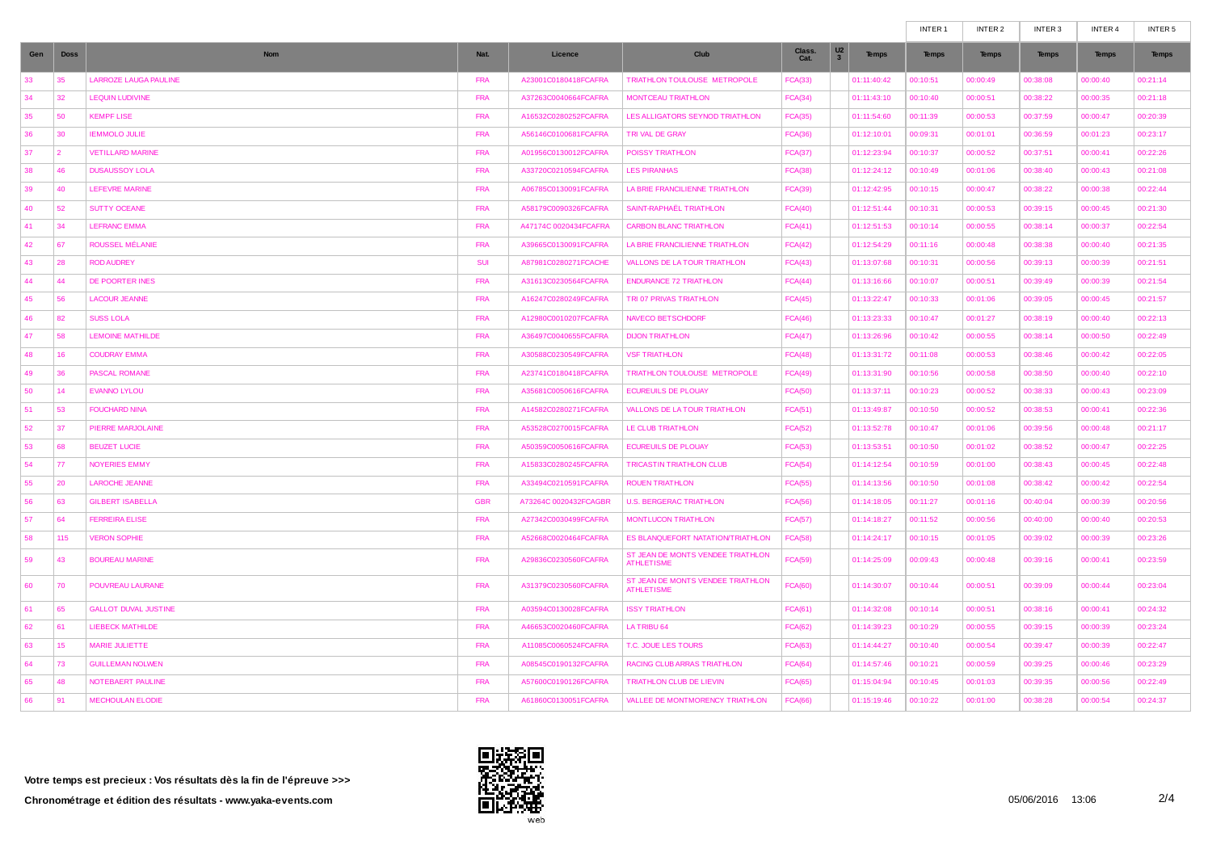|     |             |                              |            |                       |                                                        |                |                                                  | INTER <sub>1</sub> | INTER <sub>2</sub> | INTER 3      | INTER 4      | INTER <sub>5</sub> |
|-----|-------------|------------------------------|------------|-----------------------|--------------------------------------------------------|----------------|--------------------------------------------------|--------------------|--------------------|--------------|--------------|--------------------|
| Gen | <b>Doss</b> | <b>Nom</b>                   | Nat.       | Licence               | Club                                                   | Class.<br>Cat. | U <sub>2</sub><br><b>Temps</b><br>3 <sup>2</sup> | <b>Temps</b>       | <b>Temps</b>       | <b>Temps</b> | <b>Temps</b> | <b>Temps</b>       |
| 33  | 35          | <b>LARROZE LAUGA PAULINE</b> | <b>FRA</b> | A23001C0180418FCAFRA  | TRIATHLON TOULOUSE METROPOLE                           | <b>FCA(33)</b> | 01:11:40:42                                      | 00:10:51           | 00:00:49           | 00:38:08     | 00:00:40     | 00:21:14           |
| 34  | 32          | <b>LEQUIN LUDIVINE</b>       | <b>FRA</b> | A37263C0040664FCAFRA  | MONTCEAU TRIATHLON                                     | FCA(34)        | 01:11:43:10                                      | 00:10:40           | 00:00:51           | 00:38:22     | 00:00:35     | 00:21:18           |
| 35  | 50          | <b>KEMPF LISE</b>            | <b>FRA</b> | A16532C0280252FCAFRA  | LES ALLIGATORS SEYNOD TRIATHLON                        | <b>FCA(35)</b> | 01:11:54:60                                      | 00:11:39           | 00:00:53           | 00:37:59     | 00:00:47     | 00:20:39           |
| 36  | 30          | <b>IEMMOLO JULIE</b>         | <b>FRA</b> | A56146C0100681FCAFRA  | TRI VAL DE GRAY                                        | <b>FCA(36)</b> | 01:12:10:01                                      | 00:09:31           | 00:01:01           | 00:36:59     | 00:01:23     | 00:23:17           |
| 37  | 2           | <b>VETILLARD MARINE</b>      | <b>FRA</b> | A01956C0130012FCAFRA  | <b>POISSY TRIATHLON</b>                                | <b>FCA(37)</b> | 01:12:23:94                                      | 00:10:37           | 00:00:52           | 00:37:51     | 00:00:41     | 00:22:26           |
| 38  | 46          | <b>DUSAUSSOY LOLA</b>        | <b>FRA</b> | A33720C0210594FCAFRA  | <b>LES PIRANHAS</b>                                    | <b>FCA(38)</b> | 01:12:24:12                                      | 00:10:49           | 00:01:06           | 00:38:40     | 00:00:43     | 00:21:08           |
| 39  | 40          | <b>LEFEVRE MARINE</b>        | <b>FRA</b> | A06785C0130091FCAFRA  | LA BRIE FRANCILIENNE TRIATHLON                         | <b>FCA(39)</b> | 01:12:42:95                                      | 00:10:15           | 00:00:47           | 00:38:22     | 00:00:38     | 00:22:44           |
| 40  | 52          | <b>SUTTY OCEANE</b>          | <b>FRA</b> | A58179C0090326FCAFRA  | SAINT-RAPHAEL TRIATHLON                                | FCA(40)        | 01:12:51:44                                      | 00:10:31           | 00:00:53           | 00:39:15     | 00:00:45     | 00:21:30           |
| 41  | 34          | <b>LEFRANC EMMA</b>          | <b>FRA</b> | A47174C 0020434FCAFRA | <b>CARBON BLANC TRIATHLON</b>                          | FCA(41)        | 01:12:51:53                                      | 00:10:14           | 00:00:55           | 00:38:14     | 00:00:37     | 00:22:54           |
| 42  | 67          | ROUSSEL MÉLANIE              | <b>FRA</b> | A39665C0130091FCAFRA  | LA BRIE FRANCILIENNE TRIATHLON                         | FCA(42)        | 01:12:54:29                                      | 00:11:16           | 00:00:48           | 00:38:38     | 00:00:40     | 00:21:35           |
| 43  | 28          | <b>ROD AUDREY</b>            | <b>SUI</b> | A87981C0280271FCACHE  | VALLONS DE LA TOUR TRIATHLON                           | FCA(43)        | 01:13:07:68                                      | 00:10:31           | 00:00:56           | 00:39:13     | 00:00:39     | 00:21:51           |
| 44  | 44          | DE POORTER INES              | <b>FRA</b> | A31613C0230564FCAFRA  | <b>ENDURANCE 72 TRIATHLON</b>                          | FCA(44)        | 01:13:16:66                                      | 00:10:07           | 00:00:51           | 00:39:49     | 00:00:39     | 00:21:54           |
| 45  | 56          | <b>LACOUR JEANNE</b>         | <b>FRA</b> | A16247C0280249FCAFRA  | TRI 07 PRIVAS TRIATHLON                                | FCA(45)        | 01:13:22:47                                      | 00:10:33           | 00:01:06           | 00:39:05     | 00:00:45     | 00:21:57           |
| 46  | 82          | <b>SUSS LOLA</b>             | <b>FRA</b> | A12980C0010207FCAFRA  | <b>NAVECO BETSCHDORF</b>                               | FCA(46)        | 01:13:23:33                                      | 00:10:47           | 00:01:27           | 00:38:19     | 00:00:40     | 00:22:13           |
| 47  | 58          | <b>LEMOINE MATHILDE</b>      | <b>FRA</b> | A36497C0040655FCAFRA  | <b>DIJON TRIATHLON</b>                                 | FCA(47)        | 01:13:26:96                                      | 00:10:42           | 00:00:55           | 00:38:14     | 00:00:50     | 00:22:49           |
| 48  | 16          | <b>COUDRAY EMMA</b>          | <b>FRA</b> | A30588C0230549FCAFRA  | <b>VSF TRIATHLON</b>                                   | FCA(48)        | 01:13:31:72                                      | 00:11:08           | 00:00:53           | 00:38:46     | 00:00:42     | 00:22:05           |
| 49  | 36          | <b>PASCAL ROMANE</b>         | <b>FRA</b> | A23741C0180418FCAFRA  | TRIATHLON TOULOUSE METROPOLE                           | FCA(49)        | 01:13:31:90                                      | 00:10:56           | 00:00:58           | 00:38:50     | 00:00:40     | 00:22:10           |
| 50  | 14          | <b>EVANNO LYLOU</b>          | <b>FRA</b> | A35681C0050616FCAFRA  | <b>ECUREUILS DE PLOUAY</b>                             | <b>FCA(50)</b> | 01:13:37:11                                      | 00:10:23           | 00:00:52           | 00:38:33     | 00:00:43     | 00:23:09           |
| 51  | 53          | <b>FOUCHARD NINA</b>         | <b>FRA</b> | A14582C0280271FCAFRA  | <b>VALLONS DE LA TOUR TRIATHLON</b>                    | FCA(51)        | 01:13:49:87                                      | 00:10:50           | 00:00:52           | 00:38:53     | 00:00:41     | 00:22:36           |
| 52  | 37          | PIERRE MARJOLAINE            | <b>FRA</b> | A53528C0270015FCAFRA  | LE CLUB TRIATHLON                                      | <b>FCA(52)</b> | 01:13:52:78                                      | 00:10:47           | 00:01:06           | 00:39:56     | 00:00:48     | 00:21:17           |
| 53  | 68          | <b>BEUZET LUCIE</b>          | <b>FRA</b> | A50359C0050616FCAFRA  | <b>ECUREUILS DE PLOUAY</b>                             | <b>FCA(53)</b> | 01:13:53:51                                      | 00:10:50           | 00:01:02           | 00:38:52     | 00:00:47     | 00:22:25           |
| 54  | 77          | <b>NOYERIES EMMY</b>         | <b>FRA</b> | A15833C0280245FCAFRA  | TRICASTIN TRIATHLON CLUB                               | <b>FCA(54)</b> | 01:14:12:54                                      | 00:10:59           | 00:01:00           | 00:38:43     | 00:00:45     | 00:22:48           |
| 55  | 20          | <b>LAROCHE JEANNE</b>        | <b>FRA</b> | A33494C0210591FCAFRA  | <b>ROUEN TRIATHLON</b>                                 | <b>FCA(55)</b> | 01:14:13:56                                      | 00:10:50           | 00:01:08           | 00:38:42     | 00:00:42     | 00:22:54           |
| 56  | 63          | <b>GILBERT ISABELLA</b>      | <b>GBR</b> | A73264C 0020432FCAGBR | <b>U.S. BERGERAC TRIATHLON</b>                         | <b>FCA(56)</b> | 01:14:18:05                                      | 00:11:27           | 00:01:16           | 00:40:04     | 00:00:39     | 00:20:56           |
| 57  | 64          | <b>FERREIRA ELISE</b>        | <b>FRA</b> | A27342C0030499FCAFRA  | <b>MONTLUCON TRIATHLON</b>                             | <b>FCA(57)</b> | 01:14:18:27                                      | 00:11:52           | 00:00:56           | 00:40:00     | 00:00:40     | 00:20:53           |
| 58  | 115         | <b>VERON SOPHIE</b>          | <b>FRA</b> | A52668C0020464FCAFRA  | ES BLANQUEFORT NATATION/TRIATHLON                      | <b>FCA(58)</b> | 01:14:24:17                                      | 00:10:15           | 00:01:05           | 00:39:02     | 00:00:39     | 00:23:26           |
| 59  | 43          | <b>BOUREAU MARINE</b>        | <b>FRA</b> | A29836C0230560FCAFRA  | ST JEAN DE MONTS VENDEE TRIATHLON<br><b>ATHLETISME</b> | <b>FCA(59)</b> | 01:14:25:09                                      | 00:09:43           | 00:00:48           | 00:39:16     | 00:00:41     | 00:23:59           |
| 60  | 70          | POUVREAU LAURANE             | <b>FRA</b> | A31379C0230560FCAFRA  | ST JEAN DE MONTS VENDEE TRIATHLON<br><b>ATHLETISME</b> | <b>FCA(60)</b> | 01:14:30:07                                      | 00:10:44           | 00:00:51           | 00:39:09     | 00:00:44     | 00:23:04           |
| 61  | 65          | <b>GALLOT DUVAL JUSTINE</b>  | <b>FRA</b> | A03594C0130028FCAFRA  | <b>ISSY TRIATHLON</b>                                  | <b>FCA(61)</b> | 01:14:32:08                                      | 00:10:14           | 00:00:51           | 00:38:16     | 00:00:41     | 00:24:32           |
| 62  | 61          | <b>LIEBECK MATHILDE</b>      | <b>FRA</b> | A46653C0020460FCAFRA  | LA TRIBU 64                                            | <b>FCA(62)</b> | 01:14:39:23                                      | 00:10:29           | 00:00:55           | 00:39:15     | 00:00:39     | 00:23:24           |
| 63  | 15          | MARIE JULIETTE               | <b>FRA</b> | A11085C0060524FCAFRA  | T.C. JOUE LES TOURS                                    | <b>FCA(63)</b> | 01:14:44:27                                      | 00:10:40           | 00:00:54           | 00:39:47     | 00:00:39     | 00:22:47           |
| 64  | 73          | <b>GUILLEMAN NOLWEN</b>      | <b>FRA</b> | A08545C0190132FCAFRA  | RACING CLUB ARRAS TRIATHLON                            | FCA(64)        | 01:14:57:46                                      | 00:10:21           | 00:00:59           | 00:39:25     | 00:00:46     | 00:23:29           |
| 65  | 48          | NOTEBAERT PAULINE            | <b>FRA</b> | A57600C0190126FCAFRA  | TRIATHLON CLUB DE LIEVIN                               | FCA(65)        | 01:15:04:94                                      | 00:10:45           | 00:01:03           | 00:39:35     | 00:00:56     | 00:22:49           |
| 66  | 91          | <b>MECHOULAN ELODIE</b>      | <b>FRA</b> | A61860C0130051FCAFRA  | VALLEE DE MONTMORENCY TRIATHLON                        | <b>FCA(66)</b> | 01:15:19:46                                      | 00:10:22           | 00:01:00           | 00:38:28     | 00:00:54     | 00:24:37           |

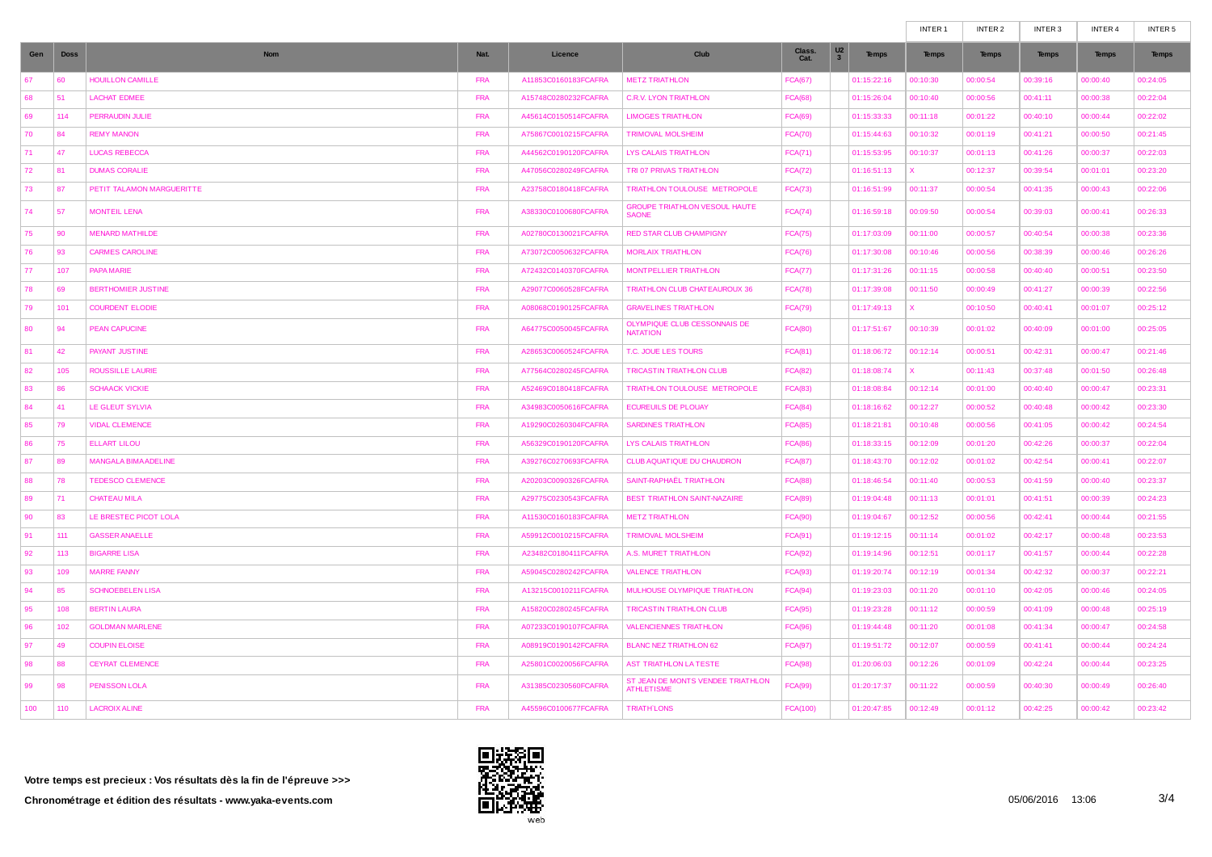|     |             |                             |            |                      |                                                        |                 |                                                           | INTER <sub>1</sub> | INTER 2      | INTER 3      | INTER 4      | INTER 5      |
|-----|-------------|-----------------------------|------------|----------------------|--------------------------------------------------------|-----------------|-----------------------------------------------------------|--------------------|--------------|--------------|--------------|--------------|
| Gen | <b>Doss</b> | <b>Nom</b>                  | Nat.       | Licence              | Club                                                   | Class.<br>Cat.  | U <sub>2</sub><br><b>Temps</b><br>$\overline{\mathbf{3}}$ | <b>Temps</b>       | <b>Temps</b> | <b>Temps</b> | <b>Temps</b> | <b>Temps</b> |
| 67  | 60          | <b>HOUILLON CAMILLE</b>     | <b>FRA</b> | A11853C0160183FCAFRA | <b>METZ TRIATHLON</b>                                  | <b>FCA(67)</b>  | 01:15:22:16                                               | 00:10:30           | 00:00:54     | 00:39:16     | 00:00:40     | 00:24:05     |
| 68  | 51          | <b>LACHAT EDMEE</b>         | <b>FRA</b> | A15748C0280232FCAFRA | <b>C.R.V. LYON TRIATHLON</b>                           | <b>FCA(68)</b>  | 01:15:26:04                                               | 00:10:40           | 00:00:56     | 00:41:11     | 00:00:38     | 00:22:04     |
| 69  | 114         | PERRAUDIN JULIE             | <b>FRA</b> | A45614C0150514FCAFRA | <b>LIMOGES TRIATHLON</b>                               | <b>FCA(69)</b>  | 01:15:33:33                                               | 00:11:18           | 00:01:22     | 00:40:10     | 00:00:44     | 00:22:02     |
| 70  | 84          | <b>REMY MANON</b>           | <b>FRA</b> | A75867C0010215FCAFRA | <b>TRIMOVAL MOLSHEIM</b>                               | <b>FCA(70)</b>  | 01:15:44:63                                               | 00:10:32           | 00:01:19     | 00:41:21     | 00:00:50     | 00:21:45     |
| 71  | 47          | <b>LUCAS REBECCA</b>        | <b>FRA</b> | A44562C0190120FCAFRA | LYS CALAIS TRIATHLON                                   | FCA(71)         | 01:15:53:95                                               | 00:10:37           | 00:01:13     | 00:41:26     | 00:00:37     | 00:22:03     |
| 72  | 81          | <b>DUMAS CORALIE</b>        | <b>FRA</b> | A47056C0280249FCAFRA | TRI 07 PRIVAS TRIATHLON                                | <b>FCA(72)</b>  | 01:16:51:13                                               | x.                 | 00:12:37     | 00:39:54     | 00:01:01     | 00:23:20     |
| 73  | 87          | PETIT TALAMON MARGUERITTE   | <b>FRA</b> | A23758C0180418FCAFRA | TRIATHLON TOULOUSE METROPOLE                           | <b>FCA(73)</b>  | 01:16:51:99                                               | 00:11:37           | 00:00:54     | 00:41:35     | 00:00:43     | 00:22:06     |
| 74  | 57          | <b>MONTEIL LENA</b>         | <b>FRA</b> | A38330C0100680FCAFRA | <b>GROUPE TRIATHLON VESOUL HAUTE</b><br><b>SAONE</b>   | <b>FCA(74)</b>  | 01:16:59:18                                               | 00:09:50           | 00:00:54     | 00:39:03     | 00:00:41     | 00:26:33     |
| 75  | 90          | <b>MENARD MATHILDE</b>      | <b>FRA</b> | A02780C0130021FCAFRA | <b>RED STAR CLUB CHAMPIGNY</b>                         | <b>FCA(75)</b>  | 01:17:03:09                                               | 00:11:00           | 00:00:57     | 00:40:54     | 00:00:38     | 00:23:36     |
| 76  | 93          | <b>CARMES CAROLINE</b>      | <b>FRA</b> | A73072C0050632FCAFRA | <b>MORLAIX TRIATHLON</b>                               | <b>FCA(76)</b>  | 01:17:30:08                                               | 00:10:46           | 00:00:56     | 00:38:39     | 00:00:46     | 00:26:26     |
| 77  | 107         | PAPA MARIE                  | <b>FRA</b> | A72432C0140370FCAFRA | <b>MONTPELLIER TRIATHLON</b>                           | <b>FCA(77)</b>  | 01:17:31:26                                               | 00:11:15           | 00:00:58     | 00:40:40     | 00:00:51     | 00:23:50     |
| 78  | 69          | <b>BERTHOMIER JUSTINE</b>   | <b>FRA</b> | A29077C0060528FCAFRA | TRIATHLON CLUB CHATEAUROUX 36                          | <b>FCA(78)</b>  | 01:17:39:08                                               | 00:11:50           | 00:00:49     | 00:41:27     | 00:00:39     | 00:22:56     |
| 79  | 101         | <b>COURDENT ELODIE</b>      | <b>FRA</b> | A08068C0190125FCAFRA | <b>GRAVELINES TRIATHLON</b>                            | <b>FCA(79)</b>  | 01:17:49:13                                               | <b>X</b>           | 00:10:50     | 00:40:41     | 00:01:07     | 00:25:12     |
| 80  | 94          | <b>PEAN CAPUCINE</b>        | <b>FRA</b> | A64775C0050045FCAFRA | OLYMPIQUE CLUB CESSONNAIS DE<br><b>NATATION</b>        | <b>FCA(80)</b>  | 01:17:51:67                                               | 00:10:39           | 00:01:02     | 00:40:09     | 00:01:00     | 00:25:05     |
| 81  | 42          | PAYANT JUSTINE              | <b>FRA</b> | A28653C0060524FCAFRA | T.C. JOUE LES TOURS                                    | <b>FCA(81)</b>  | 01:18:06:72                                               | 00:12:14           | 00:00:51     | 00:42:31     | 00:00:47     | 00:21:46     |
| 82  | 105         | <b>ROUSSILLE LAURIE</b>     | <b>FRA</b> | A77564C0280245FCAFRA | <b>TRICASTIN TRIATHLON CLUB</b>                        | <b>FCA(82)</b>  | 01:18:08:74                                               | x.                 | 00:11:43     | 00:37:48     | 00:01:50     | 00:26:48     |
| 83  | 86          | <b>SCHAACK VICKIE</b>       | <b>FRA</b> | A52469C0180418FCAFRA | TRIATHLON TOULOUSE METROPOLE                           | <b>FCA(83)</b>  | 01:18:08:84                                               | 00:12:14           | 00:01:00     | 00:40:40     | 00:00:47     | 00:23:31     |
| 84  | 41          | LE GLEUT SYLVIA             | <b>FRA</b> | A34983C0050616FCAFRA | <b>ECUREUILS DE PLOUAY</b>                             | <b>FCA(84)</b>  | 01:18:16:62                                               | 00:12:27           | 00:00:52     | 00:40:48     | 00:00:42     | 00:23:30     |
| 85  | 79          | <b>VIDAL CLEMENCE</b>       | <b>FRA</b> | A19290C0260304FCAFRA | <b>SARDINES TRIATHLON</b>                              | <b>FCA(85)</b>  | 01:18:21:81                                               | 00:10:48           | 00:00:56     | 00:41:05     | 00:00:42     | 00:24:54     |
| 86  | 75          | <b>ELLART LILOU</b>         | <b>FRA</b> | A56329C0190120FCAFRA | <b>LYS CALAIS TRIATHLON</b>                            | <b>FCA(86)</b>  | 01:18:33:15                                               | 00:12:09           | 00:01:20     | 00:42:26     | 00:00:37     | 00:22:04     |
| 87  | 89          | <b>MANGALA BIMA ADELINE</b> | <b>FRA</b> | A39276C0270693FCAFRA | CLUB AQUATIQUE DU CHAUDRON                             | <b>FCA(87)</b>  | 01:18:43:70                                               | 00:12:02           | 00:01:02     | 00:42:54     | 00:00:41     | 00:22:07     |
| 88  | 78          | <b>TEDESCO CLEMENCE</b>     | <b>FRA</b> | A20203C0090326FCAFRA | SAINT-RAPHAËL TRIATHLON                                | <b>FCA(88)</b>  | 01:18:46:54                                               | 00:11:40           | 00:00:53     | 00:41:59     | 00:00:40     | 00:23:37     |
| 89  | 71          | CHATFAU MILA                | <b>FRA</b> | A29775C0230543FCAFRA | <b>BEST TRIATHLON SAINT-NAZAIRE</b>                    | <b>FCA(89)</b>  | 01:19:04:48                                               | 00:11:13           | 00:01:01     | 00:41:51     | 00:00:39     | 00:24:23     |
| 90  | 83          | LE BRESTEC PICOT LOLA       | <b>FRA</b> | A11530C0160183FCAFRA | <b>METZ TRIATHLON</b>                                  | <b>FCA(90)</b>  | 01:19:04:67                                               | 00:12:52           | 00:00:56     | 00:42:41     | 00:00:44     | 00:21:55     |
| 91  | 111         | <b>GASSER ANAELLE</b>       | <b>FRA</b> | A59912C0010215FCAFRA | <b>TRIMOVAL MOLSHEIM</b>                               | <b>FCA(91)</b>  | 01:19:12:15                                               | 00:11:14           | 00:01:02     | 00:42:17     | 00:00:48     | 00:23:53     |
| 92  | 113         | <b>BIGARRE LISA</b>         | <b>FRA</b> | A23482C0180411FCAFRA | A.S. MURET TRIATHLON                                   | <b>FCA(92)</b>  | 01:19:14:96                                               | 00:12:51           | 00:01:17     | 00:41:57     | 00:00:44     | 00:22:28     |
| 93  | 109         | <b>MARRE FANNY</b>          | <b>FRA</b> | A59045C0280242FCAFRA | <b>VALENCE TRIATHLON</b>                               | <b>FCA(93)</b>  | 01:19:20:74                                               | 00:12:19           | 00:01:34     | 00:42:32     | 00:00:37     | 00:22:21     |
| 94  | 85          | <b>SCHNOEBELEN LISA</b>     | <b>FRA</b> | A13215C0010211FCAFRA | MULHOUSE OLYMPIQUE TRIATHLON                           | FCA(94)         | 01:19:23:03                                               | 00:11:20           | 00:01:10     | 00:42:05     | 00:00:46     | 00:24:05     |
| 95  | 108         | <b>BERTIN LAURA</b>         | <b>FRA</b> | A15820C0280245FCAFRA | <b>TRICASTIN TRIATHLON CLUB</b>                        | <b>FCA(95)</b>  | 01:19:23:28                                               | 00:11:12           | 00:00:59     | 00:41:09     | 00:00:48     | 00:25:19     |
| 96  | 102         | <b>GOLDMAN MARLENE</b>      | <b>FRA</b> | A07233C0190107FCAFRA | <b>VALENCIENNES TRIATHLON</b>                          | FCA(96)         | 01:19:44:48                                               | 00:11:20           | 00:01:08     | 00:41:34     | 00:00:47     | 00:24:58     |
| 97  | 49          | <b>COUPIN ELOISE</b>        | <b>FRA</b> | A08919C0190142FCAFRA | <b>BLANC NEZ TRIATHLON 62</b>                          | <b>FCA(97)</b>  | 01:19:51:72                                               | 00:12:07           | 00:00:59     | 00:41:41     | 00:00:44     | 00:24:24     |
| 98  | 88          | <b>CEYRAT CLEMENCE</b>      | <b>FRA</b> | A25801C0020056FCAFRA | AST TRIATHLON LA TESTE                                 | FCA(98)         | 01:20:06:03                                               | 00:12:26           | 00:01:09     | 00:42:24     | 00:00:44     | 00:23:25     |
| 99  | 98          | <b>PENISSON LOLA</b>        | <b>FRA</b> | A31385C0230560FCAFRA | ST JEAN DE MONTS VENDEE TRIATHLON<br><b>ATHLETISME</b> | <b>FCA(99)</b>  | 01:20:17:37                                               | 00:11:22           | 00:00:59     | 00:40:30     | 00:00:49     | 00:26:40     |
| 100 | 110         | <b>LACROIX ALINE</b>        | <b>FRA</b> | A45596C0100677FCAFRA | <b>TRIATH LONS</b>                                     | <b>FCA(100)</b> | 01:20:47:85                                               | 00:12:49           | 00:01:12     | 00:42:25     | 00:00:42     | 00:23:42     |